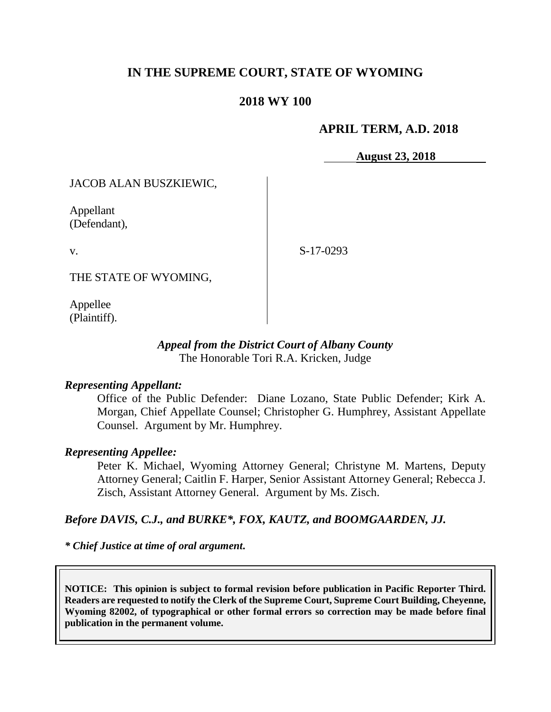# **IN THE SUPREME COURT, STATE OF WYOMING**

## **2018 WY 100**

## **APRIL TERM, A.D. 2018**

**August 23, 2018**

JACOB ALAN BUSZKIEWIC,

Appellant (Defendant),

v.

S-17-0293

THE STATE OF WYOMING,

Appellee (Plaintiff).

## *Appeal from the District Court of Albany County* The Honorable Tori R.A. Kricken, Judge

## *Representing Appellant:*

Office of the Public Defender: Diane Lozano, State Public Defender; Kirk A. Morgan, Chief Appellate Counsel; Christopher G. Humphrey, Assistant Appellate Counsel. Argument by Mr. Humphrey.

#### *Representing Appellee:*

Peter K. Michael, Wyoming Attorney General; Christyne M. Martens, Deputy Attorney General; Caitlin F. Harper, Senior Assistant Attorney General; Rebecca J. Zisch, Assistant Attorney General. Argument by Ms. Zisch.

## *Before DAVIS, C.J., and BURKE\*, FOX, KAUTZ, and BOOMGAARDEN, JJ.*

*\* Chief Justice at time of oral argument***.**

**NOTICE: This opinion is subject to formal revision before publication in Pacific Reporter Third. Readers are requested to notify the Clerk of the Supreme Court, Supreme Court Building, Cheyenne, Wyoming 82002, of typographical or other formal errors so correction may be made before final publication in the permanent volume.**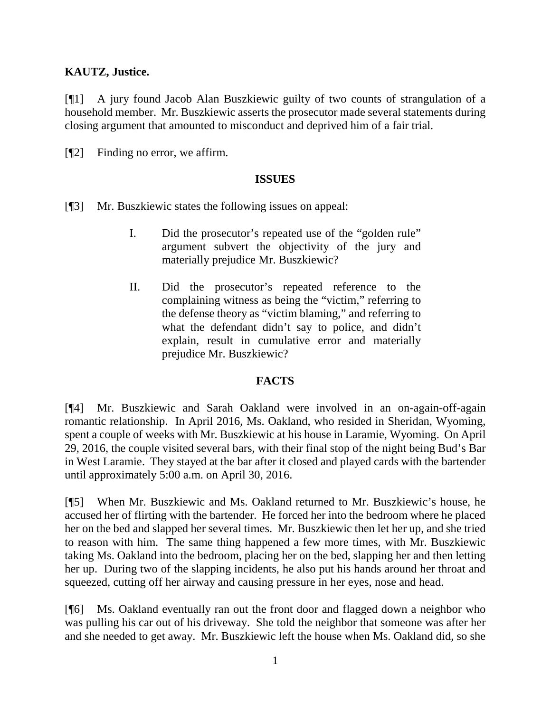## **KAUTZ, Justice.**

[¶1] A jury found Jacob Alan Buszkiewic guilty of two counts of strangulation of a household member. Mr. Buszkiewic asserts the prosecutor made several statements during closing argument that amounted to misconduct and deprived him of a fair trial.

[¶2] Finding no error, we affirm.

## **ISSUES**

- [¶3] Mr. Buszkiewic states the following issues on appeal:
	- I. Did the prosecutor's repeated use of the "golden rule" argument subvert the objectivity of the jury and materially prejudice Mr. Buszkiewic?
	- II. Did the prosecutor's repeated reference to the complaining witness as being the "victim," referring to the defense theory as "victim blaming," and referring to what the defendant didn't say to police, and didn't explain, result in cumulative error and materially prejudice Mr. Buszkiewic?

## **FACTS**

[¶4] Mr. Buszkiewic and Sarah Oakland were involved in an on-again-off-again romantic relationship. In April 2016, Ms. Oakland, who resided in Sheridan, Wyoming, spent a couple of weeks with Mr. Buszkiewic at his house in Laramie, Wyoming. On April 29, 2016, the couple visited several bars, with their final stop of the night being Bud's Bar in West Laramie. They stayed at the bar after it closed and played cards with the bartender until approximately 5:00 a.m. on April 30, 2016.

[¶5] When Mr. Buszkiewic and Ms. Oakland returned to Mr. Buszkiewic's house, he accused her of flirting with the bartender. He forced her into the bedroom where he placed her on the bed and slapped her several times. Mr. Buszkiewic then let her up, and she tried to reason with him. The same thing happened a few more times, with Mr. Buszkiewic taking Ms. Oakland into the bedroom, placing her on the bed, slapping her and then letting her up. During two of the slapping incidents, he also put his hands around her throat and squeezed, cutting off her airway and causing pressure in her eyes, nose and head.

[¶6] Ms. Oakland eventually ran out the front door and flagged down a neighbor who was pulling his car out of his driveway. She told the neighbor that someone was after her and she needed to get away. Mr. Buszkiewic left the house when Ms. Oakland did, so she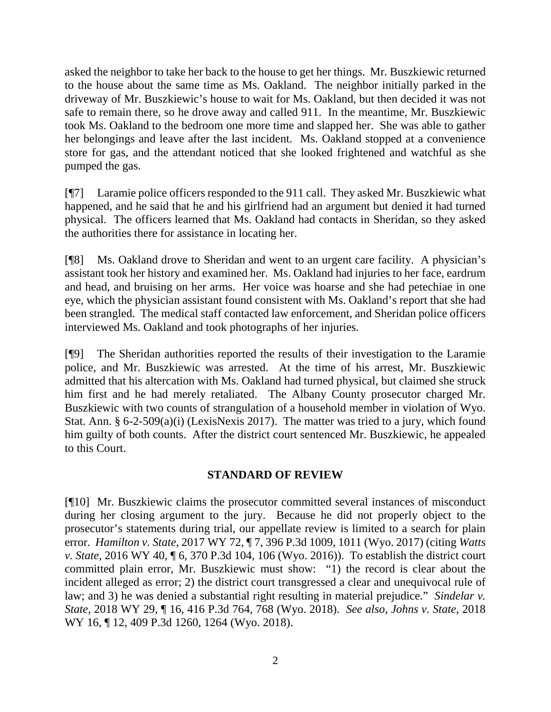asked the neighbor to take her back to the house to get her things. Mr. Buszkiewic returned to the house about the same time as Ms. Oakland. The neighbor initially parked in the driveway of Mr. Buszkiewic's house to wait for Ms. Oakland, but then decided it was not safe to remain there, so he drove away and called 911. In the meantime, Mr. Buszkiewic took Ms. Oakland to the bedroom one more time and slapped her. She was able to gather her belongings and leave after the last incident. Ms. Oakland stopped at a convenience store for gas, and the attendant noticed that she looked frightened and watchful as she pumped the gas.

[¶7] Laramie police officers responded to the 911 call. They asked Mr. Buszkiewic what happened, and he said that he and his girlfriend had an argument but denied it had turned physical. The officers learned that Ms. Oakland had contacts in Sheridan, so they asked the authorities there for assistance in locating her.

[¶8] Ms. Oakland drove to Sheridan and went to an urgent care facility. A physician's assistant took her history and examined her. Ms. Oakland had injuries to her face, eardrum and head, and bruising on her arms. Her voice was hoarse and she had petechiae in one eye, which the physician assistant found consistent with Ms. Oakland's report that she had been strangled. The medical staff contacted law enforcement, and Sheridan police officers interviewed Ms. Oakland and took photographs of her injuries.

[¶9] The Sheridan authorities reported the results of their investigation to the Laramie police, and Mr. Buszkiewic was arrested. At the time of his arrest, Mr. Buszkiewic admitted that his altercation with Ms. Oakland had turned physical, but claimed she struck him first and he had merely retaliated. The Albany County prosecutor charged Mr. Buszkiewic with two counts of strangulation of a household member in violation of Wyo. Stat. Ann. § 6-2-509(a)(i) (LexisNexis 2017). The matter was tried to a jury, which found him guilty of both counts. After the district court sentenced Mr. Buszkiewic, he appealed to this Court.

## **STANDARD OF REVIEW**

[¶10] Mr. Buszkiewic claims the prosecutor committed several instances of misconduct during her closing argument to the jury. Because he did not properly object to the prosecutor's statements during trial, our appellate review is limited to a search for plain error. *Hamilton v. State,* 2017 WY 72, ¶ 7, 396 P.3d 1009, 1011 (Wyo. 2017) (citing *[Watts](http://www.westlaw.com/Link/Document/FullText?findType=Y&serNum=2038587232&pubNum=0004645&originatingDoc=I1ea0b220523d11e7bb97edaf3db64019&refType=RP&fi=co_pp_sp_4645_106&originationContext=document&vr=3.0&rs=cblt1.0&transitionType=DocumentItem&contextData=(sc.Search)#co_pp_sp_4645_106)  v. State*[, 2016 WY 40, ¶ 6, 370 P.3d 104, 106 \(Wyo. 2016\)\)](http://www.westlaw.com/Link/Document/FullText?findType=Y&serNum=2038587232&pubNum=0004645&originatingDoc=I1ea0b220523d11e7bb97edaf3db64019&refType=RP&fi=co_pp_sp_4645_106&originationContext=document&vr=3.0&rs=cblt1.0&transitionType=DocumentItem&contextData=(sc.Search)#co_pp_sp_4645_106). To establish the district court committed plain error, Mr. Buszkiewic must show: "1) the record is clear about the incident alleged as error; 2) the district court transgressed a clear and unequivocal rule of law; and 3) he was denied a substantial right resulting in material prejudice." *Sindelar v. State,* 2018 WY 29, ¶ 16, 416 P.3d 764, 768 (Wyo. 2018). *See also*, *[Johns v. State](http://www.westlaw.com/Link/Document/FullText?findType=Y&serNum=2043787091&pubNum=0004645&originatingDoc=I1da471904e9511e88a14e1fba2b51c53&refType=RP&fi=co_pp_sp_4645_1264&originationContext=document&vr=3.0&rs=cblt1.0&transitionType=DocumentItem&contextData=(sc.Search)#co_pp_sp_4645_1264)*, 2018 [WY 16, ¶ 12, 409 P.3d 1260, 1264 \(Wyo. 2018\).](http://www.westlaw.com/Link/Document/FullText?findType=Y&serNum=2043787091&pubNum=0004645&originatingDoc=I1da471904e9511e88a14e1fba2b51c53&refType=RP&fi=co_pp_sp_4645_1264&originationContext=document&vr=3.0&rs=cblt1.0&transitionType=DocumentItem&contextData=(sc.Search)#co_pp_sp_4645_1264)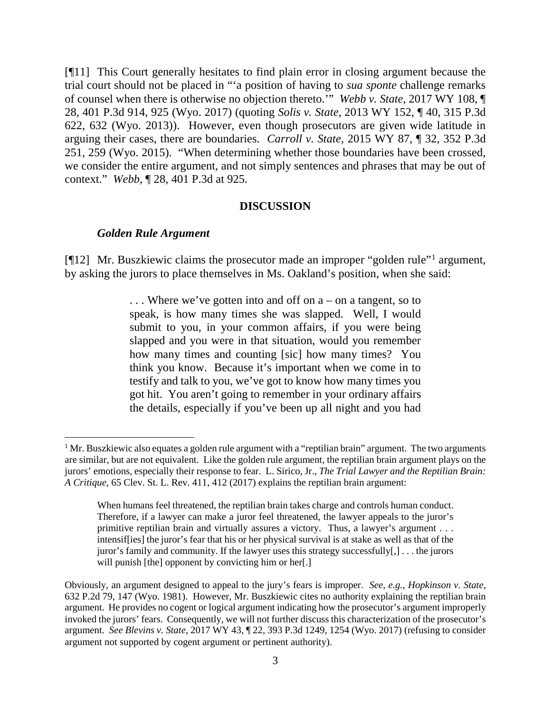[¶11] This Court generally hesitates to find plain error in closing argument because the trial court should not be placed in "'a position of having to *sua sponte* challenge remarks of counsel when there is otherwise no objection thereto.'" *Webb v. State,* 2017 WY 108, ¶ 28, 401 P.3d 914, 925 (Wyo. 2017) (quoting *Solis v. State*[, 2013 WY 152, ¶ 40, 315 P.3d](http://www.westlaw.com/Link/Document/FullText?findType=Y&serNum=2032273854&pubNum=0004645&originatingDoc=I1319c8f09a6911e7a9cdf8f74902bf96&refType=RP&fi=co_pp_sp_4645_632&originationContext=document&vr=3.0&rs=cblt1.0&transitionType=DocumentItem&contextData=(sc.Search)#co_pp_sp_4645_632)  [622, 632 \(Wyo. 2013\)\)](http://www.westlaw.com/Link/Document/FullText?findType=Y&serNum=2032273854&pubNum=0004645&originatingDoc=I1319c8f09a6911e7a9cdf8f74902bf96&refType=RP&fi=co_pp_sp_4645_632&originationContext=document&vr=3.0&rs=cblt1.0&transitionType=DocumentItem&contextData=(sc.Search)#co_pp_sp_4645_632). However, even though prosecutors are given wide latitude in arguing their cases, there are boundaries. *Carroll v. State*[, 2015 WY 87, ¶ 32, 352 P.3d](http://www.westlaw.com/Link/Document/FullText?findType=Y&serNum=2036475838&pubNum=0004645&originatingDoc=I1319c8f09a6911e7a9cdf8f74902bf96&refType=RP&fi=co_pp_sp_4645_259&originationContext=document&vr=3.0&rs=cblt1.0&transitionType=DocumentItem&contextData=(sc.Search)#co_pp_sp_4645_259)  [251, 259 \(Wyo. 2015\).](http://www.westlaw.com/Link/Document/FullText?findType=Y&serNum=2036475838&pubNum=0004645&originatingDoc=I1319c8f09a6911e7a9cdf8f74902bf96&refType=RP&fi=co_pp_sp_4645_259&originationContext=document&vr=3.0&rs=cblt1.0&transitionType=DocumentItem&contextData=(sc.Search)#co_pp_sp_4645_259) "When determining whether those boundaries have been crossed, we consider the entire argument, and not simply sentences and phrases that may be out of context." *Webb,* ¶ 28, 401 P.3d at 925.

#### **DISCUSSION**

#### *Golden Rule Argument*

[¶12] Mr. Buszkiewic claims the prosecutor made an improper "golden rule"[1](#page-3-0) argument, by asking the jurors to place themselves in Ms. Oakland's position, when she said:

> . . . Where we've gotten into and off on a – on a tangent, so to speak, is how many times she was slapped. Well, I would submit to you, in your common affairs, if you were being slapped and you were in that situation, would you remember how many times and counting [sic] how many times? You think you know. Because it's important when we come in to testify and talk to you, we've got to know how many times you got hit. You aren't going to remember in your ordinary affairs the details, especially if you've been up all night and you had

<span id="page-3-0"></span><sup>&</sup>lt;sup>1</sup> Mr. Buszkiewic also equates a golden rule argument with a "reptilian brain" argument. The two arguments are similar, but are not equivalent. Like the golden rule argument, the reptilian brain argument plays on the jurors' emotions, especially their response to fear. L. Sirico, Jr., *The Trial Lawyer and the Reptilian Brain: A Critique,* 65 Clev. St. L. Rev. 411, 412 (2017) explains the reptilian brain argument:

When humans feel threatened, the reptilian brain takes charge and controls human conduct. Therefore, if a lawyer can make a juror feel threatened, the lawyer appeals to the juror's primitive reptilian brain and virtually assures a victory. Thus, a lawyer's argument . . . intensif[ies] the juror's fear that his or her physical survival is at stake as well as that of the juror's family and community. If the lawyer uses this strategy successfully[,] . . . the jurors will punish [the] opponent by convicting him or her[.]

Obviously, an argument designed to appeal to the jury's fears is improper. *See, e.g.*, *Hopkinson v. State,*  632 P.2d 79, 147 (Wyo. 1981). However, Mr. Buszkiewic cites no authority explaining the reptilian brain argument. He provides no cogent or logical argument indicating how the prosecutor's argument improperly invoked the jurors' fears. Consequently, we will not further discuss this characterization of the prosecutor's argument. *See Blevins v. State,* 2017 WY 43, ¶ 22, 393 P.3d 1249, 1254 (Wyo. 2017) (refusing to consider argument not supported by cogent argument or pertinent authority).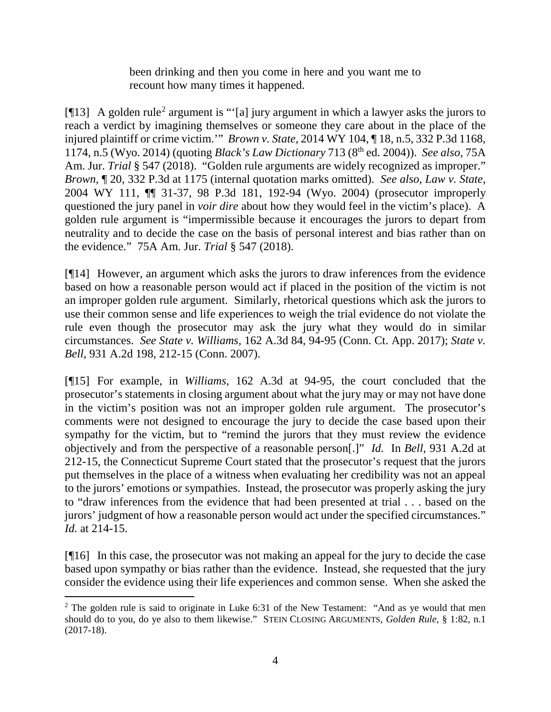been drinking and then you come in here and you want me to recount how many times it happened.

[ $[13]$ ] A golden rule<sup>[2](#page-4-0)</sup> argument is "'[a] jury argument in which a lawyer asks the jurors to reach a verdict by imagining themselves or someone they care about in the place of the injured plaintiff or crime victim.'" *Brown v. State,* 2014 WY 104, ¶ 18, n.5, 332 P.3d 1168, 1174, n.5 (Wyo. 2014) (quoting *Black's Law Dictionary* 713 (8th ed. 2004)). *See also,* 75A Am. Jur. *Trial* § 547 (2018). "Golden rule arguments are widely recognized as improper." *Brown,* ¶ 20, 332 P.3d at 1175 (internal quotation marks omitted). *See also, Law v. State,*  2004 WY 111, ¶¶ 31-37, 98 P.3d 181, 192-94 (Wyo. 2004) (prosecutor improperly questioned the jury panel in *voir dire* about how they would feel in the victim's place). A golden rule argument is "impermissible because it encourages the jurors to depart from neutrality and to decide the case on the basis of personal interest and bias rather than on the evidence." 75A Am. Jur. *Trial* § 547 (2018).

[¶14] However, an argument which asks the jurors to draw inferences from the evidence based on how a reasonable person would act if placed in the position of the victim is not an improper golden rule argument. Similarly, rhetorical questions which ask the jurors to use their common sense and life experiences to weigh the trial evidence do not violate the rule even though the prosecutor may ask the jury what they would do in similar circumstances. *See State v. Williams,* 162 A.3d 84, 94-95 (Conn. Ct. App. 2017); *State v. Bell,* 931 A.2d 198, 212-15 (Conn. 2007).

[¶15] For example, in *Williams,* 162 A.3d at 94-95, the court concluded that the prosecutor's statements in closing argument about what the jury may or may not have done in the victim's position was not an improper golden rule argument. The prosecutor's comments were not designed to encourage the jury to decide the case based upon their sympathy for the victim, but to "remind the jurors that they must review the evidence objectively and from the perspective of a reasonable person[.]" *Id.* In *Bell,* 931 A.2d at 212-15, the Connecticut Supreme Court stated that the prosecutor's request that the jurors put themselves in the place of a witness when evaluating her credibility was not an appeal to the jurors' emotions or sympathies. Instead, the prosecutor was properly asking the jury to "draw inferences from the evidence that had been presented at trial . . . based on the jurors' judgment of how a reasonable person would act under the specified circumstances." *Id.* at 214-15.

[¶16] In this case, the prosecutor was not making an appeal for the jury to decide the case based upon sympathy or bias rather than the evidence. Instead, she requested that the jury consider the evidence using their life experiences and common sense. When she asked the

<span id="page-4-0"></span><sup>&</sup>lt;sup>2</sup> The golden rule is said to originate in Luke 6:31 of the New Testament: "And as ye would that men should do to you, do ye also to them likewise." STEIN CLOSING ARGUMENTS*, Golden Rule,* § 1:82, n.1 (2017-18).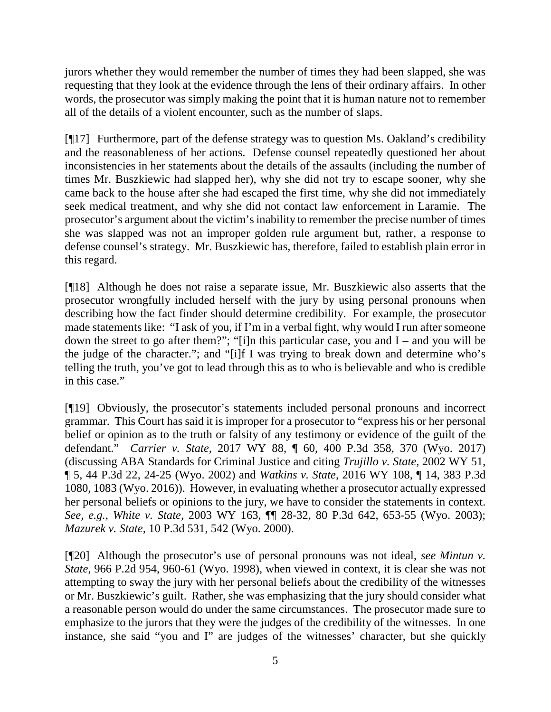jurors whether they would remember the number of times they had been slapped, she was requesting that they look at the evidence through the lens of their ordinary affairs. In other words, the prosecutor was simply making the point that it is human nature not to remember all of the details of a violent encounter, such as the number of slaps.

[¶17] Furthermore, part of the defense strategy was to question Ms. Oakland's credibility and the reasonableness of her actions. Defense counsel repeatedly questioned her about inconsistencies in her statements about the details of the assaults (including the number of times Mr. Buszkiewic had slapped her), why she did not try to escape sooner, why she came back to the house after she had escaped the first time, why she did not immediately seek medical treatment, and why she did not contact law enforcement in Laramie. The prosecutor's argument about the victim's inability to remember the precise number of times she was slapped was not an improper golden rule argument but, rather, a response to defense counsel's strategy. Mr. Buszkiewic has, therefore, failed to establish plain error in this regard.

[¶18] Although he does not raise a separate issue, Mr. Buszkiewic also asserts that the prosecutor wrongfully included herself with the jury by using personal pronouns when describing how the fact finder should determine credibility. For example, the prosecutor made statements like: "I ask of you, if I'm in a verbal fight, why would I run after someone down the street to go after them?"; "[i]n this particular case, you and  $I$  – and you will be the judge of the character."; and "[i]f I was trying to break down and determine who's telling the truth, you've got to lead through this as to who is believable and who is credible in this case."

[¶19] Obviously, the prosecutor's statements included personal pronouns and incorrect grammar. This Court has said it is improper for a prosecutor to "express his or her personal belief or opinion as to the truth or falsity of any testimony or evidence of the guilt of the defendant." *Carrier v. State,* 2017 WY 88, ¶ 60, 400 P.3d 358, 370 (Wyo. 2017) (discussing ABA Standards for Criminal Justice and citing *Trujillo v. State,* 2002 WY 51, ¶ 5, 44 P.3d 22, 24-25 (Wyo. 2002) and *Watkins v. State,* 2016 WY 108, ¶ 14, 383 P.3d 1080, 1083 (Wyo. 2016)). However, in evaluating whether a prosecutor actually expressed her personal beliefs or opinions to the jury, we have to consider the statements in context. *See, e.g.*, *White v. State,* 2003 WY 163, ¶¶ 28-32, 80 P.3d 642, 653-55 (Wyo. 2003); *Mazurek v. State,* 10 P.3d 531, 542 (Wyo. 2000).

[¶20] Although the prosecutor's use of personal pronouns was not ideal, *see Mintun v. State,* 966 P.2d 954, 960-61 (Wyo. 1998), when viewed in context, it is clear she was not attempting to sway the jury with her personal beliefs about the credibility of the witnesses or Mr. Buszkiewic's guilt. Rather, she was emphasizing that the jury should consider what a reasonable person would do under the same circumstances. The prosecutor made sure to emphasize to the jurors that they were the judges of the credibility of the witnesses. In one instance, she said "you and I" are judges of the witnesses' character, but she quickly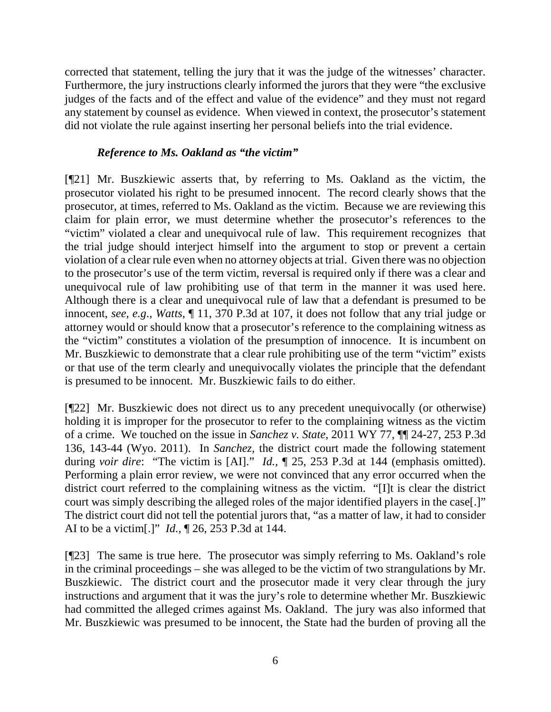corrected that statement, telling the jury that it was the judge of the witnesses' character. Furthermore, the jury instructions clearly informed the jurors that they were "the exclusive judges of the facts and of the effect and value of the evidence" and they must not regard any statement by counsel as evidence. When viewed in context, the prosecutor's statement did not violate the rule against inserting her personal beliefs into the trial evidence.

## *Reference to Ms. Oakland as "the victim"*

[¶21] Mr. Buszkiewic asserts that, by referring to Ms. Oakland as the victim, the prosecutor violated his right to be presumed innocent. The record clearly shows that the prosecutor, at times, referred to Ms. Oakland as the victim. Because we are reviewing this claim for plain error, we must determine whether the prosecutor's references to the "victim" violated a clear and unequivocal rule of law. This requirement recognizes that the trial judge should interject himself into the argument to stop or prevent a certain violation of a clear rule even when no attorney objects at trial. Given there was no objection to the prosecutor's use of the term victim, reversal is required only if there was a clear and unequivocal rule of law prohibiting use of that term in the manner it was used here. Although there is a clear and unequivocal rule of law that a defendant is presumed to be innocent, *see, e.g*., *Watts*, ¶ 11, 370 P.3d at 107, it does not follow that any trial judge or attorney would or should know that a prosecutor's reference to the complaining witness as the "victim" constitutes a violation of the presumption of innocence. It is incumbent on Mr. Buszkiewic to demonstrate that a clear rule prohibiting use of the term "victim" exists or that use of the term clearly and unequivocally violates the principle that the defendant is presumed to be innocent. Mr. Buszkiewic fails to do either.

[¶22] Mr. Buszkiewic does not direct us to any precedent unequivocally (or otherwise) holding it is improper for the prosecutor to refer to the complaining witness as the victim of a crime. We touched on the issue in *Sanchez v. State,* 2011 WY 77, ¶¶ 24-27, 253 P.3d 136, 143-44 (Wyo. 2011). In *Sanchez,* the district court made the following statement during *voir dire*: "The victim is [AI]." *Id.,* ¶ 25, 253 P.3d at 144 (emphasis omitted). Performing a plain error review, we were not convinced that any error occurred when the district court referred to the complaining witness as the victim. "[I]t is clear the district court was simply describing the alleged roles of the major identified players in the case[.]" The district court did not tell the potential jurors that, "as a matter of law, it had to consider AI to be a victim[.]" *Id.,* ¶ 26, 253 P.3d at 144.

[¶23] The same is true here. The prosecutor was simply referring to Ms. Oakland's role in the criminal proceedings – she was alleged to be the victim of two strangulations by Mr. Buszkiewic. The district court and the prosecutor made it very clear through the jury instructions and argument that it was the jury's role to determine whether Mr. Buszkiewic had committed the alleged crimes against Ms. Oakland. The jury was also informed that Mr. Buszkiewic was presumed to be innocent, the State had the burden of proving all the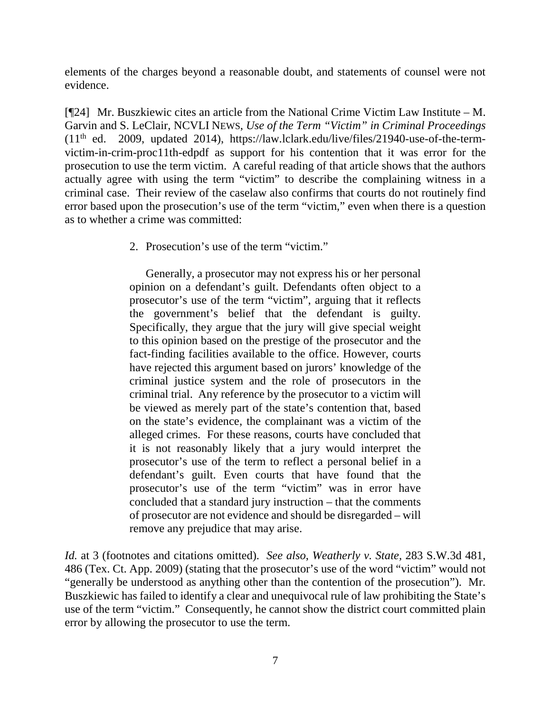elements of the charges beyond a reasonable doubt, and statements of counsel were not evidence.

[¶24] Mr. Buszkiewic cites an article from the National Crime Victim Law Institute – M. Garvin and S. LeClair, NCVLI NEWS, *Use of the Term "Victim" in Criminal Proceedings*   $(11<sup>th</sup>$  ed. 2009, updated 2014), [https://law.lclark.edu/live/files/21940-use-of-the-term](https://law.lclark.edu/live/files/21940-use-of-the-term-victim-in-crim-proc11th-edpdf)[victim-in-crim-proc11th-edpdf](https://law.lclark.edu/live/files/21940-use-of-the-term-victim-in-crim-proc11th-edpdf) as support for his contention that it was error for the prosecution to use the term victim. A careful reading of that article shows that the authors actually agree with using the term "victim" to describe the complaining witness in a criminal case. Their review of the caselaw also confirms that courts do not routinely find error based upon the prosecution's use of the term "victim," even when there is a question as to whether a crime was committed:

2. Prosecution's use of the term "victim."

Generally, a prosecutor may not express his or her personal opinion on a defendant's guilt. Defendants often object to a prosecutor's use of the term "victim", arguing that it reflects the government's belief that the defendant is guilty. Specifically, they argue that the jury will give special weight to this opinion based on the prestige of the prosecutor and the fact-finding facilities available to the office. However, courts have rejected this argument based on jurors' knowledge of the criminal justice system and the role of prosecutors in the criminal trial. Any reference by the prosecutor to a victim will be viewed as merely part of the state's contention that, based on the state's evidence, the complainant was a victim of the alleged crimes. For these reasons, courts have concluded that it is not reasonably likely that a jury would interpret the prosecutor's use of the term to reflect a personal belief in a defendant's guilt. Even courts that have found that the prosecutor's use of the term "victim" was in error have concluded that a standard jury instruction – that the comments of prosecutor are not evidence and should be disregarded – will remove any prejudice that may arise.

*Id.* at 3 (footnotes and citations omitted). *See also*, *Weatherly v. State,* 283 S.W.3d 481, 486 (Tex. Ct. App. 2009) (stating that the prosecutor's use of the word "victim" would not "generally be understood as anything other than the contention of the prosecution"). Mr. Buszkiewic has failed to identify a clear and unequivocal rule of law prohibiting the State's use of the term "victim." Consequently, he cannot show the district court committed plain error by allowing the prosecutor to use the term.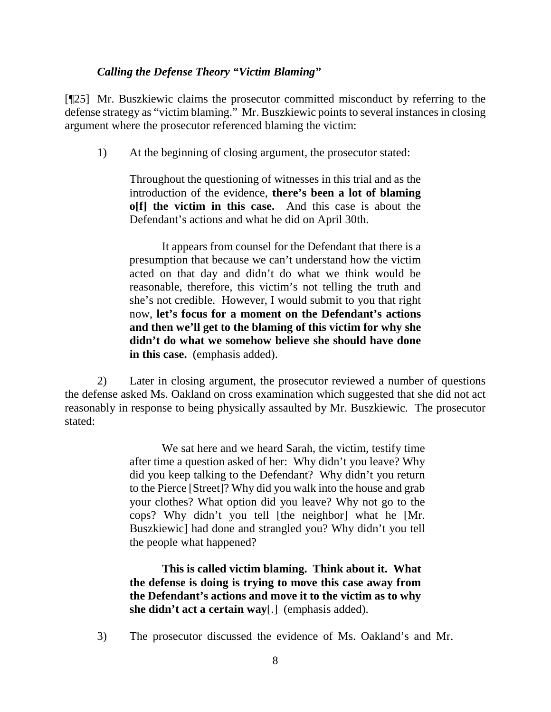## *Calling the Defense Theory "Victim Blaming"*

[¶25] Mr. Buszkiewic claims the prosecutor committed misconduct by referring to the defense strategy as "victim blaming." Mr. Buszkiewic points to several instances in closing argument where the prosecutor referenced blaming the victim:

1) At the beginning of closing argument, the prosecutor stated:

Throughout the questioning of witnesses in this trial and as the introduction of the evidence, **there's been a lot of blaming o[f] the victim in this case.** And this case is about the Defendant's actions and what he did on April 30th.

It appears from counsel for the Defendant that there is a presumption that because we can't understand how the victim acted on that day and didn't do what we think would be reasonable, therefore, this victim's not telling the truth and she's not credible. However, I would submit to you that right now, **let's focus for a moment on the Defendant's actions and then we'll get to the blaming of this victim for why she didn't do what we somehow believe she should have done in this case.** (emphasis added).

2) Later in closing argument, the prosecutor reviewed a number of questions the defense asked Ms. Oakland on cross examination which suggested that she did not act reasonably in response to being physically assaulted by Mr. Buszkiewic. The prosecutor stated:

> We sat here and we heard Sarah, the victim, testify time after time a question asked of her: Why didn't you leave? Why did you keep talking to the Defendant? Why didn't you return to the Pierce [Street]? Why did you walk into the house and grab your clothes? What option did you leave? Why not go to the cops? Why didn't you tell [the neighbor] what he [Mr. Buszkiewic] had done and strangled you? Why didn't you tell the people what happened?

**This is called victim blaming. Think about it. What the defense is doing is trying to move this case away from the Defendant's actions and move it to the victim as to why she didn't act a certain way**[.] (emphasis added).

3) The prosecutor discussed the evidence of Ms. Oakland's and Mr.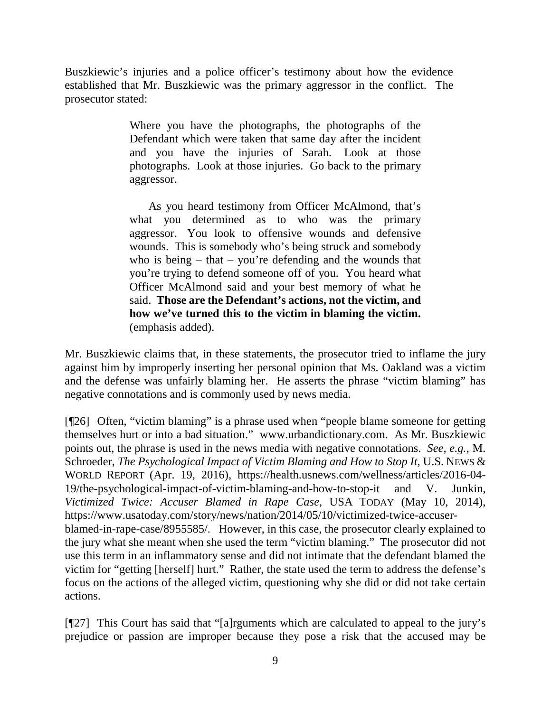Buszkiewic's injuries and a police officer's testimony about how the evidence established that Mr. Buszkiewic was the primary aggressor in the conflict. The prosecutor stated:

> Where you have the photographs, the photographs of the Defendant which were taken that same day after the incident and you have the injuries of Sarah. Look at those photographs. Look at those injuries. Go back to the primary aggressor.

> As you heard testimony from Officer McAlmond, that's what you determined as to who was the primary aggressor. You look to offensive wounds and defensive wounds. This is somebody who's being struck and somebody who is being  $-$  that  $-$  you're defending and the wounds that you're trying to defend someone off of you. You heard what Officer McAlmond said and your best memory of what he said. **Those are the Defendant's actions, not the victim, and how we've turned this to the victim in blaming the victim.** (emphasis added).

Mr. Buszkiewic claims that, in these statements, the prosecutor tried to inflame the jury against him by improperly inserting her personal opinion that Ms. Oakland was a victim and the defense was unfairly blaming her. He asserts the phrase "victim blaming" has negative connotations and is commonly used by news media.

[¶26] Often, "victim blaming" is a phrase used when "people blame someone for getting themselves hurt or into a bad situation." [www.urbandictionary.com.](http://www.urbandictionary.com/) As Mr. Buszkiewic points out, the phrase is used in the news media with negative connotations. *See, e.g.*, M. Schroeder, *The Psychological Impact of Victim Blaming and How to Stop It, U.S.* NEWS & WORLD REPORT (Apr. 19, 2016), [https://health.usnews.com/wellness/articles/2016-04-](https://health.usnews.com/wellness/articles/2016-04-19/the-psychological-impact-of-victim-blaming-and-how-to-stop-it) [19/the-psychological-impact-of-victim-blaming-and-how-to-stop-it](https://health.usnews.com/wellness/articles/2016-04-19/the-psychological-impact-of-victim-blaming-and-how-to-stop-it) and V. Junkin, *Victimized Twice: Accuser Blamed in Rape Case,* USA TODAY (May 10, 2014), [https://www.usatoday.com/story/news/nation/2014/05/10/victimized-twice-accuser](https://www.usatoday.com/story/news/nation/2014/05/10/victimized-twice-accuser-%20blamed-in-rape-case/8955585/)[blamed-in-rape-case/8955585/.](https://www.usatoday.com/story/news/nation/2014/05/10/victimized-twice-accuser-%20blamed-in-rape-case/8955585/) However, in this case, the prosecutor clearly explained to the jury what she meant when she used the term "victim blaming." The prosecutor did not use this term in an inflammatory sense and did not intimate that the defendant blamed the victim for "getting [herself] hurt." Rather, the state used the term to address the defense's focus on the actions of the alleged victim, questioning why she did or did not take certain actions.

[¶27] This Court has said that "[a]rguments which are calculated to appeal to the jury's prejudice or passion are improper because they pose a risk that the accused may be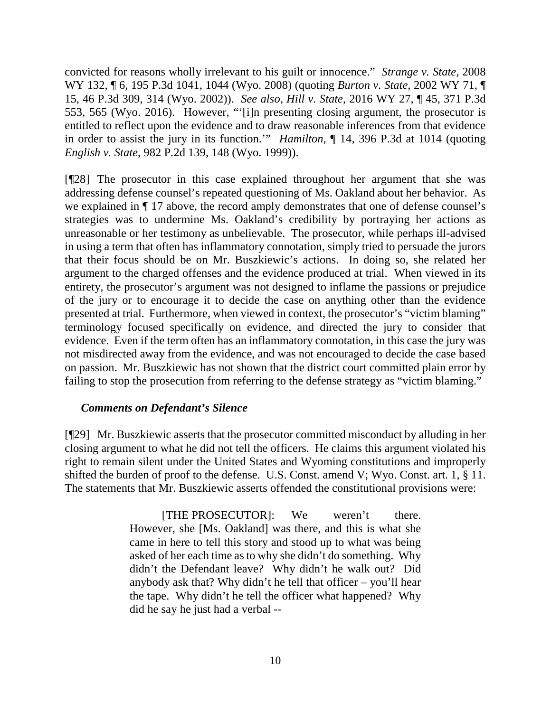convicted for reasons wholly irrelevant to his guilt or innocence." *Strange v. State,* 2008 WY 132, ¶ 6, 195 P.3d 1041, 1044 (Wyo. 2008) (quoting *Burton v. State,* [2002 WY 71, ¶](http://www.westlaw.com/Link/Document/FullText?findType=Y&serNum=2002300392&pubNum=4645&originatingDoc=I7454c65cb0cd11ddb5cbad29a280d47c&refType=RP&fi=co_pp_sp_4645_314&originationContext=document&vr=3.0&rs=cblt1.0&transitionType=DocumentItem&contextData=(sc.Search)#co_pp_sp_4645_314)  [15, 46 P.3d 309, 314](http://www.westlaw.com/Link/Document/FullText?findType=Y&serNum=2002300392&pubNum=4645&originatingDoc=I7454c65cb0cd11ddb5cbad29a280d47c&refType=RP&fi=co_pp_sp_4645_314&originationContext=document&vr=3.0&rs=cblt1.0&transitionType=DocumentItem&contextData=(sc.Search)#co_pp_sp_4645_314) (Wyo. 2002)). *See also*, *Hill v. State,* 2016 WY 27, ¶ 45, 371 P.3d 553, 565 (Wyo. 2016). However, "'[i]n presenting closing argument, the prosecutor is entitled to reflect upon the evidence and to draw reasonable inferences from that evidence in order to assist the jury in its function.'" *Hamilton,* ¶ 14, 396 P.3d at 1014 (quoting *English v. State*[, 982 P.2d 139, 148 \(Wyo. 1999\)\)](http://www.westlaw.com/Link/Document/FullText?findType=Y&serNum=1999129672&pubNum=0000661&originatingDoc=I1ea0b220523d11e7bb97edaf3db64019&refType=RP&fi=co_pp_sp_661_148&originationContext=document&vr=3.0&rs=cblt1.0&transitionType=DocumentItem&contextData=(sc.Search)#co_pp_sp_661_148).

[¶28] The prosecutor in this case explained throughout her argument that she was addressing defense counsel's repeated questioning of Ms. Oakland about her behavior. As we explained in ¶ 17 above, the record amply demonstrates that one of defense counsel's strategies was to undermine Ms. Oakland's credibility by portraying her actions as unreasonable or her testimony as unbelievable. The prosecutor, while perhaps ill-advised in using a term that often has inflammatory connotation, simply tried to persuade the jurors that their focus should be on Mr. Buszkiewic's actions. In doing so, she related her argument to the charged offenses and the evidence produced at trial. When viewed in its entirety, the prosecutor's argument was not designed to inflame the passions or prejudice of the jury or to encourage it to decide the case on anything other than the evidence presented at trial. Furthermore, when viewed in context, the prosecutor's "victim blaming" terminology focused specifically on evidence, and directed the jury to consider that evidence. Even if the term often has an inflammatory connotation, in this case the jury was not misdirected away from the evidence, and was not encouraged to decide the case based on passion. Mr. Buszkiewic has not shown that the district court committed plain error by failing to stop the prosecution from referring to the defense strategy as "victim blaming."

## *Comments on Defendant's Silence*

[¶29] Mr. Buszkiewic asserts that the prosecutor committed misconduct by alluding in her closing argument to what he did not tell the officers. He claims this argument violated his right to remain silent under the United States and Wyoming constitutions and improperly shifted the burden of proof to the defense. U.S. Const. amend V; Wyo. Const. art. 1, § 11. The statements that Mr. Buszkiewic asserts offended the constitutional provisions were:

> [THE PROSECUTOR]: We weren't there. However, she [Ms. Oakland] was there, and this is what she came in here to tell this story and stood up to what was being asked of her each time as to why she didn't do something. Why didn't the Defendant leave? Why didn't he walk out? Did anybody ask that? Why didn't he tell that officer – you'll hear the tape. Why didn't he tell the officer what happened? Why did he say he just had a verbal --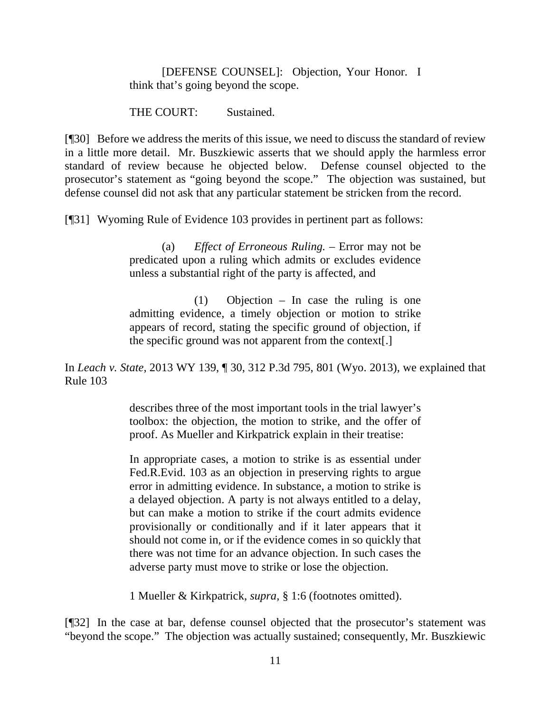#### [DEFENSE COUNSEL]: Objection, Your Honor. I think that's going beyond the scope.

THE COURT: Sustained.

[¶30] Before we address the merits of this issue, we need to discuss the standard of review in a little more detail. Mr. Buszkiewic asserts that we should apply the harmless error standard of review because he objected below. Defense counsel objected to the prosecutor's statement as "going beyond the scope." The objection was sustained, but defense counsel did not ask that any particular statement be stricken from the record.

[¶31] Wyoming Rule of Evidence 103 provides in pertinent part as follows:

(a) *Effect of Erroneous Ruling.* – Error may not be predicated upon a ruling which admits or excludes evidence unless a substantial right of the party is affected, and

(1) Objection – In case the ruling is one admitting evidence, a timely objection or motion to strike appears of record, stating the specific ground of objection, if the specific ground was not apparent from the context[.]

In *Leach v. State,* 2013 WY 139, ¶ 30, 312 P.3d 795, 801 (Wyo. 2013), we explained that Rule 103

> describes three of the most important tools in the trial lawyer's toolbox: the objection, the motion to strike, and the offer of proof. As Mueller and Kirkpatrick explain in their treatise:

> In appropriate cases, a motion to strike is as essential under [Fed.R.Evid. 103](http://www.westlaw.com/Link/Document/FullText?findType=L&pubNum=1000607&cite=USFRER103&originatingDoc=Ib375eccd497811e38912df21cb42a557&refType=LQ&originationContext=document&vr=3.0&rs=cblt1.0&transitionType=DocumentItem&contextData=(sc.Search)) as an objection in preserving rights to argue error in admitting evidence. In substance, a motion to strike is a delayed objection. A party is not always entitled to a delay, but can make a motion to strike if the court admits evidence provisionally or conditionally and if it later appears that it should not come in, or if the evidence comes in so quickly that there was not time for an advance objection. In such cases the adverse party must move to strike or lose the objection.

1 Mueller & Kirkpatrick, *supra,* § 1:6 (footnotes omitted).

[¶32] In the case at bar, defense counsel objected that the prosecutor's statement was "beyond the scope." The objection was actually sustained; consequently, Mr. Buszkiewic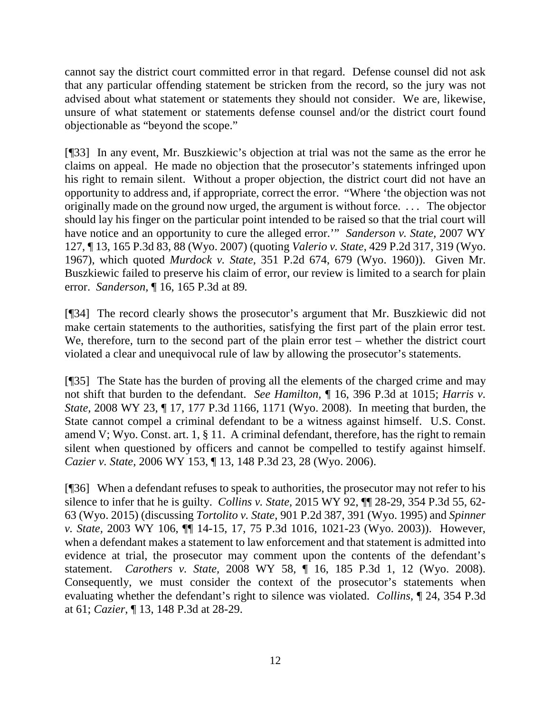cannot say the district court committed error in that regard. Defense counsel did not ask that any particular offending statement be stricken from the record, so the jury was not advised about what statement or statements they should not consider. We are, likewise, unsure of what statement or statements defense counsel and/or the district court found objectionable as "beyond the scope."

[¶33] In any event, Mr. Buszkiewic's objection at trial was not the same as the error he claims on appeal. He made no objection that the prosecutor's statements infringed upon his right to remain silent. Without a proper objection, the district court did not have an opportunity to address and, if appropriate, correct the error. "Where 'the objection was not originally made on the ground now urged, the argument is without force. . . . The objector should lay his finger on the particular point intended to be raised so that the trial court will have notice and an opportunity to cure the alleged error.'" *Sanderson v. State,* 2007 WY 127, ¶ 13, 165 P.3d 83, 88 (Wyo. 2007) (quoting *Valerio v. State*[, 429 P.2d 317, 319 \(Wyo.](http://www.westlaw.com/Link/Document/FullText?findType=Y&serNum=1967127768&pubNum=0000661&originatingDoc=I9ab8f1b6442611dc8200d0063168b01f&refType=RP&fi=co_pp_sp_661_319&originationContext=document&vr=3.0&rs=cblt1.0&transitionType=DocumentItem&contextData=(sc.Search)#co_pp_sp_661_319)  [1967\),](http://www.westlaw.com/Link/Document/FullText?findType=Y&serNum=1967127768&pubNum=0000661&originatingDoc=I9ab8f1b6442611dc8200d0063168b01f&refType=RP&fi=co_pp_sp_661_319&originationContext=document&vr=3.0&rs=cblt1.0&transitionType=DocumentItem&contextData=(sc.Search)#co_pp_sp_661_319) which quoted *Murdock v. State,* [351 P.2d 674, 679 \(Wyo. 1960\)\)](http://www.westlaw.com/Link/Document/FullText?findType=Y&serNum=1960129436&pubNum=0000661&originatingDoc=I9ab8f1b6442611dc8200d0063168b01f&refType=RP&fi=co_pp_sp_661_679&originationContext=document&vr=3.0&rs=cblt1.0&transitionType=DocumentItem&contextData=(sc.Search)#co_pp_sp_661_679). Given Mr. Buszkiewic failed to preserve his claim of error, our review is limited to a search for plain error. *Sanderson,* ¶ 16, 165 P.3d at 89*.*

[¶34] The record clearly shows the prosecutor's argument that Mr. Buszkiewic did not make certain statements to the authorities, satisfying the first part of the plain error test. We, therefore, turn to the second part of the plain error test – whether the district court violated a clear and unequivocal rule of law by allowing the prosecutor's statements.

[¶35] The State has the burden of proving all the elements of the charged crime and may not shift that burden to the defendant. *See Hamilton,* ¶ 16, 396 P.3d at 1015; *Harris v. State,* 2008 WY 23, ¶ 17, 177 P.3d 1166, 1171 (Wyo. 2008). In meeting that burden, the State cannot compel a criminal defendant to be a witness against himself. U.S. Const. amend V; Wyo. Const. art. 1, § 11. A criminal defendant, therefore, has the right to remain silent when questioned by officers and cannot be compelled to testify against himself. *Cazier v. State,* 2006 WY 153, ¶ 13, 148 P.3d 23, 28 (Wyo. 2006).

[¶36] When a defendant refuses to speak to authorities, the prosecutor may not refer to his silence to infer that he is guilty. *Collins v. State,* 2015 WY 92, ¶¶ 28-29, 354 P.3d 55, 62- 63 (Wyo. 2015) (discussing *Tortolito v. State,* 901 P.2d 387, 391 (Wyo. 1995) and *Spinner v. State,* 2003 WY 106, ¶¶ 14-15, 17, 75 P.3d 1016, 1021-23 (Wyo. 2003)). However, when a defendant makes a statement to law enforcement and that statement is admitted into evidence at trial, the prosecutor may comment upon the contents of the defendant's statement. *Carothers v. State,* 2008 WY 58, ¶ 16, 185 P.3d 1, 12 (Wyo. 2008). Consequently, we must consider the context of the prosecutor's statements when evaluating whether the defendant's right to silence was violated. *Collins,* ¶ 24, 354 P.3d at 61; *Cazier*, ¶ 13, 148 P.3d at 28-29.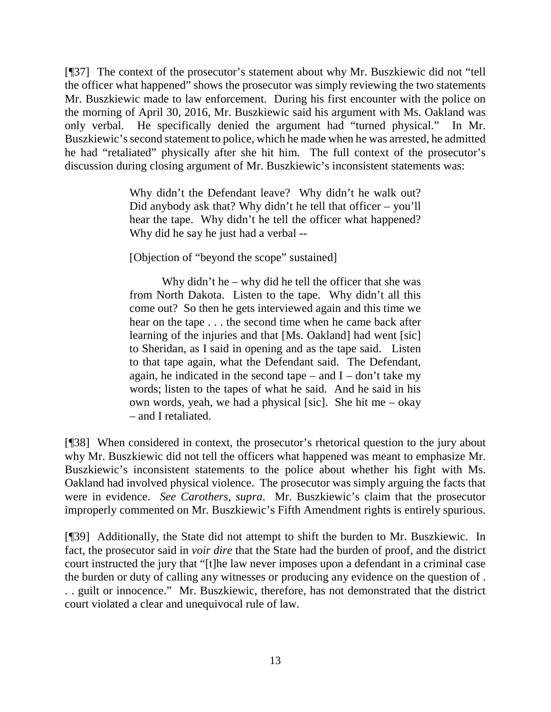[¶37] The context of the prosecutor's statement about why Mr. Buszkiewic did not "tell the officer what happened" shows the prosecutor was simply reviewing the two statements Mr. Buszkiewic made to law enforcement. During his first encounter with the police on the morning of April 30, 2016, Mr. Buszkiewic said his argument with Ms. Oakland was only verbal. He specifically denied the argument had "turned physical." In Mr. Buszkiewic's second statement to police, which he made when he was arrested, he admitted he had "retaliated" physically after she hit him. The full context of the prosecutor's discussion during closing argument of Mr. Buszkiewic's inconsistent statements was:

> Why didn't the Defendant leave? Why didn't he walk out? Did anybody ask that? Why didn't he tell that officer – you'll hear the tape. Why didn't he tell the officer what happened? Why did he say he just had a verbal --

[Objection of "beyond the scope" sustained]

Why didn't he – why did he tell the officer that she was from North Dakota. Listen to the tape. Why didn't all this come out? So then he gets interviewed again and this time we hear on the tape . . . the second time when he came back after learning of the injuries and that [Ms. Oakland] had went [sic] to Sheridan, as I said in opening and as the tape said. Listen to that tape again, what the Defendant said. The Defendant, again, he indicated in the second tape – and  $I - don't$  take my words; listen to the tapes of what he said. And he said in his own words, yeah, we had a physical [sic]. She hit me – okay – and I retaliated.

[¶38] When considered in context, the prosecutor's rhetorical question to the jury about why Mr. Buszkiewic did not tell the officers what happened was meant to emphasize Mr. Buszkiewic's inconsistent statements to the police about whether his fight with Ms. Oakland had involved physical violence. The prosecutor was simply arguing the facts that were in evidence. *See Carothers, supra*. Mr. Buszkiewic's claim that the prosecutor improperly commented on Mr. Buszkiewic's Fifth Amendment rights is entirely spurious.

[¶39] Additionally, the State did not attempt to shift the burden to Mr. Buszkiewic. In fact, the prosecutor said in *voir dire* that the State had the burden of proof, and the district court instructed the jury that "[t]he law never imposes upon a defendant in a criminal case the burden or duty of calling any witnesses or producing any evidence on the question of . . . guilt or innocence." Mr. Buszkiewic, therefore, has not demonstrated that the district court violated a clear and unequivocal rule of law.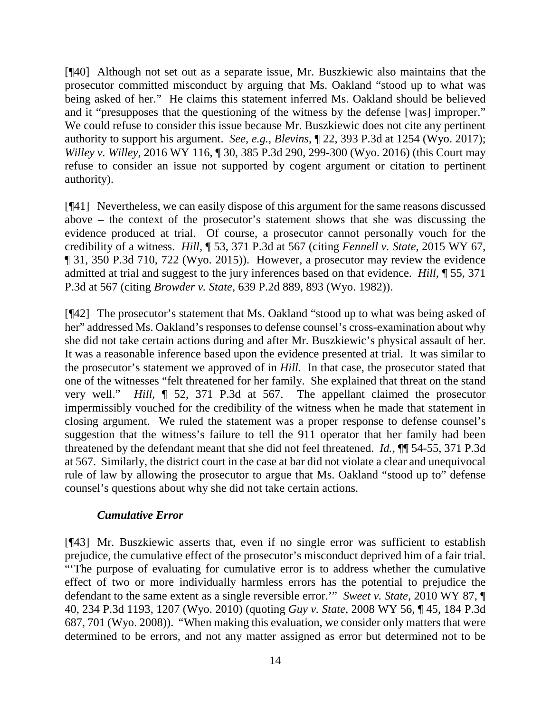[¶40] Although not set out as a separate issue, Mr. Buszkiewic also maintains that the prosecutor committed misconduct by arguing that Ms. Oakland "stood up to what was being asked of her." He claims this statement inferred Ms. Oakland should be believed and it "presupposes that the questioning of the witness by the defense [was] improper." We could refuse to consider this issue because Mr. Buszkiewic does not cite any pertinent authority to support his argument. *See, e.g.*, *Blevins,* ¶ 22, 393 P.3d at 1254 (Wyo. 2017); *Willey v. Willey,* 2016 WY 116, ¶ 30, 385 P.3d 290, 299-300 (Wyo. 2016) (this Court may refuse to consider an issue not supported by cogent argument or citation to pertinent authority).

[¶41] Nevertheless, we can easily dispose of this argument for the same reasons discussed above – the context of the prosecutor's statement shows that she was discussing the evidence produced at trial. Of course, a prosecutor cannot personally vouch for the credibility of a witness. *Hill,* ¶ 53, 371 P.3d at 567 (citing *Fennell v. State,* 2015 WY 67, ¶ 31, 350 P.3d 710, 722 (Wyo. 2015)). However, a prosecutor may review the evidence admitted at trial and suggest to the jury inferences based on that evidence. *Hill,* ¶ 55, 371 P.3d at 567 (citing *Browder v. State,* 639 P.2d 889, 893 (Wyo. 1982)).

[¶42] The prosecutor's statement that Ms. Oakland "stood up to what was being asked of her" addressed Ms. Oakland's responses to defense counsel's cross-examination about why she did not take certain actions during and after Mr. Buszkiewic's physical assault of her. It was a reasonable inference based upon the evidence presented at trial. It was similar to the prosecutor's statement we approved of in *Hill.* In that case, the prosecutor stated that one of the witnesses "felt threatened for her family. She explained that threat on the stand very well." *Hill,* ¶ 52, 371 P.3d at 567. The appellant claimed the prosecutor impermissibly vouched for the credibility of the witness when he made that statement in closing argument. We ruled the statement was a proper response to defense counsel's suggestion that the witness's failure to tell the 911 operator that her family had been threatened by the defendant meant that she did not feel threatened. *Id.,* ¶¶ 54-55, 371 P.3d at 567. Similarly, the district court in the case at bar did not violate a clear and unequivocal rule of law by allowing the prosecutor to argue that Ms. Oakland "stood up to" defense counsel's questions about why she did not take certain actions.

## *Cumulative Error*

[¶43] Mr. Buszkiewic asserts that, even if no single error was sufficient to establish prejudice, the cumulative effect of the prosecutor's misconduct deprived him of a fair trial. "'The purpose of evaluating for cumulative error is to address whether the cumulative effect of two or more individually harmless errors has the potential to prejudice the defendant to the same extent as a single reversible error.'" *Sweet v. State,* [2010 WY 87, ¶](http://www.westlaw.com/Link/Document/FullText?findType=Y&serNum=2022398512&pubNum=0004645&originatingDoc=I93c0e074d4d111e1b343c837631e1747&refType=RP&fi=co_pp_sp_4645_1207&originationContext=document&vr=3.0&rs=cblt1.0&transitionType=DocumentItem&contextData=(sc.DocLink)#co_pp_sp_4645_1207)  [40, 234 P.3d 1193, 1207 \(Wyo.](http://www.westlaw.com/Link/Document/FullText?findType=Y&serNum=2022398512&pubNum=0004645&originatingDoc=I93c0e074d4d111e1b343c837631e1747&refType=RP&fi=co_pp_sp_4645_1207&originationContext=document&vr=3.0&rs=cblt1.0&transitionType=DocumentItem&contextData=(sc.DocLink)#co_pp_sp_4645_1207) 2010) (quoting *Guy v. State,* 2008 WY 56, ¶ 45, 184 P.3d 687, 701 (Wyo. 2008)). "When making this evaluation, we consider only matters that were determined to be errors, and not any matter assigned as error but determined not to be